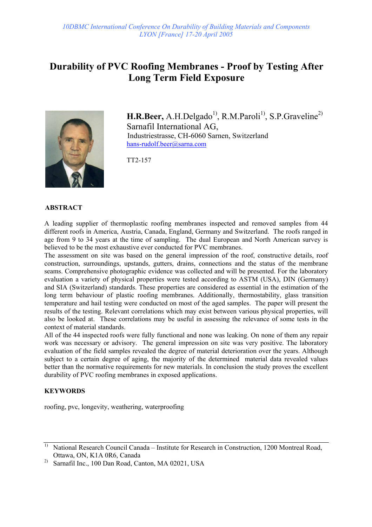# **Durability of PVC Roofing Membranes - Proof by Testing After Long Term Field Exposure**



H.R.Beer, A.H.Delgado<sup>1)</sup>, R.M.Paroli<sup>1)</sup>, S.P.Graveline<sup>2)</sup> Sarnafil International AG, Industriestrasse, CH-6060 Sarnen, Switzerland hans-rudolf.beer@sarna.com

TT2-157

#### **ABSTRACT**

A leading supplier of thermoplastic roofing membranes inspected and removed samples from 44 different roofs in America, Austria, Canada, England, Germany and Switzerland. The roofs ranged in age from 9 to 34 years at the time of sampling. The dual European and North American survey is believed to be the most exhaustive ever conducted for PVC membranes.

The assessment on site was based on the general impression of the roof, constructive details, roof construction, surroundings, upstands, gutters, drains, connections and the status of the membrane seams. Comprehensive photographic evidence was collected and will be presented. For the laboratory evaluation a variety of physical properties were tested according to ASTM (USA), DIN (Germany) and SIA (Switzerland) standards. These properties are considered as essential in the estimation of the long term behaviour of plastic roofing membranes. Additionally, thermostability, glass transition temperature and hail testing were conducted on most of the aged samples. The paper will present the results of the testing. Relevant correlations which may exist between various physical properties, will also be looked at. These correlations may be useful in assessing the relevance of some tests in the context of material standards.

All of the 44 inspected roofs were fully functional and none was leaking. On none of them any repair work was necessary or advisory. The general impression on site was very positive. The laboratory evaluation of the field samples revealed the degree of material deterioration over the years. Although subject to a certain degree of aging, the majority of the determined material data revealed values better than the normative requirements for new materials. In conclusion the study proves the excellent durability of PVC roofing membranes in exposed applications.

#### **KEYWORDS**

roofing, pvc, longevity, weathering, waterproofing

<sup>&</sup>lt;sup>1)</sup> National Research Council Canada – Institute for Research in Construction, 1200 Montreal Road, Ottawa, ON, K1A 0R6, Canada

<sup>&</sup>lt;sup>2)</sup> Sarnafil Inc., 100 Dan Road, Canton, MA 02021, USA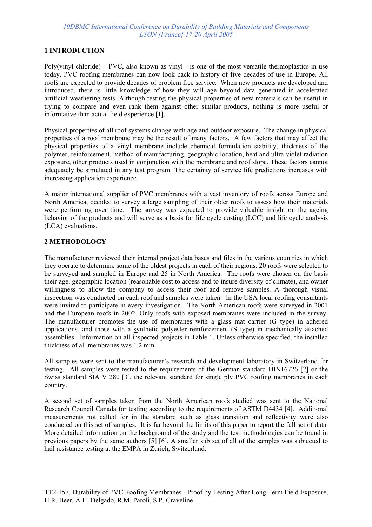## **1 INTRODUCTION**

Poly(vinyl chloride) – PVC, also known as vinyl - is one of the most versatile thermoplastics in use today. PVC roofing membranes can now look back to history of five decades of use in Europe. All roofs are expected to provide decades of problem free service. When new products are developed and introduced, there is little knowledge of how they will age beyond data generated in accelerated artificial weathering tests. Although testing the physical properties of new materials can be useful in trying to compare and even rank them against other similar products, nothing is more useful or informative than actual field experience [1].

Physical properties of all roof systems change with age and outdoor exposure. The change in physical properties of a roof membrane may be the result of many factors. A few factors that may affect the physical properties of a vinyl membrane include chemical formulation stability, thickness of the polymer, reinforcement, method of manufacturing, geographic location, heat and ultra violet radiation exposure, other products used in conjunction with the membrane and roof slope. These factors cannot adequately be simulated in any test program. The certainty of service life predictions increases with increasing application experience.

A major international supplier of PVC membranes with a vast inventory of roofs across Europe and North America, decided to survey a large sampling of their older roofs to assess how their materials were performing over time. The survey was expected to provide valuable insight on the ageing behavior of the products and will serve as a basis for life cycle costing (LCC) and life cycle analysis (LCA) evaluations.

### **2 METHODOLOGY**

The manufacturer reviewed their internal project data bases and files in the various countries in which they operate to determine some of the oldest projects in each of their regions. 20 roofs were selected to be surveyed and sampled in Europe and 25 in North America. The roofs were chosen on the basis their age, geographic location (reasonable cost to access and to insure diversity of climate), and owner willingness to allow the company to access their roof and remove samples. A thorough visual inspection was conducted on each roof and samples were taken. In the USA local roofing consultants were invited to participate in every investigation. The North American roofs were surveyed in 2001 and the European roofs in 2002. Only roofs with exposed membranes were included in the survey. The manufacturer promotes the use of membranes with a glass mat carrier (G type) in adhered applications, and those with a synthetic polyester reinforcement (S type) in mechanically attached assemblies. Information on all inspected projects in Table 1. Unless otherwise specified, the installed thickness of all membranes was 1.2 mm.

All samples were sent to the manufacturer's research and development laboratory in Switzerland for testing. All samples were tested to the requirements of the German standard DIN16726 [2] or the Swiss standard SIA V 280 [3], the relevant standard for single ply PVC roofing membranes in each country.

A second set of samples taken from the North American roofs studied was sent to the National Research Council Canada for testing according to the requirements of ASTM D4434 [4]. Additional measurements not called for in the standard such as glass transition and reflectivity were also conducted on this set of samples. It is far beyond the limits of this paper to report the full set of data. More detailed information on the background of the study and the test methodologies can be found in previous papers by the same authors [5] [6]. A smaller sub set of all of the samples was subjected to hail resistance testing at the EMPA in Zurich, Switzerland.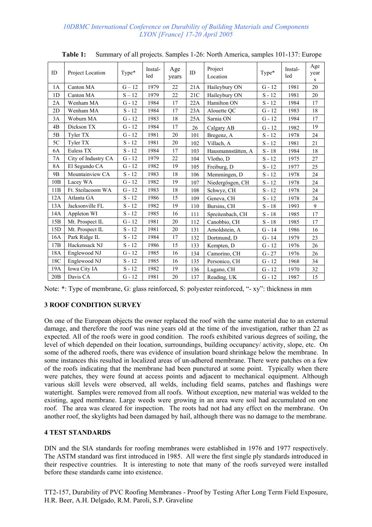| ID             | Project Location    | Type*    | Instal-<br>led | Age<br>years | ID  | Project<br>Location | Type*    | Instal-<br>led | Age<br>year<br>S |
|----------------|---------------------|----------|----------------|--------------|-----|---------------------|----------|----------------|------------------|
| 1A             | Canton MA           | $G - 12$ | 1979           | 22           | 21A | Haileybury ON       | $G - 12$ | 1981           | 20               |
| 1 <sub>D</sub> | Canton MA           | $S - 12$ | 1979           | 22           | 21C | Haileybury ON       | $S - 12$ | 1981           | 20               |
| 2A             | Wenham MA           | $G - 12$ | 1984           | 17           | 22A | Hamilton ON         | $S - 12$ | 1984           | 17               |
| 2D             | Wenham MA           | $S - 12$ | 1984           | 17           | 23A | Alouette QC         | $G - 12$ | 1983           | 18               |
| 3A             | Woburn MA           | $G - 12$ | 1983           | 18           | 25A | Sarnia ON           | $G - 12$ | 1984           | 17               |
| 4B             | Dickson TX          | $G - 12$ | 1984           | 17           | 26  | Calgary AB          | $G - 12$ | 1982           | 19               |
| 5B             | Tyler TX            | $G - 12$ | 1981           | 20           | 101 | Bregenz, A          | $S - 12$ | 1978           | 24               |
| 5C             | Tyler TX            | $S - 12$ | 1981           | 20           | 102 | Villach, A          | $S - 12$ | 1981           | 21               |
| 6A             | Euless TX           | $S - 12$ | 1984           | 17           | 103 | Hausmannstätten, A  | $S - 18$ | 1984           | 18               |
| 7A             | City of Industry CA | $G - 12$ | 1979           | 22           | 104 | Vlotho, D           | $S - 12$ | 1975           | 27               |
| <b>8A</b>      | El Segundo CA       | $G - 12$ | 1982           | 19           | 105 | Freiburg, D         | $S - 12$ | 1977           | 25               |
| 9 <sub>B</sub> | Mountainview CA     | $S - 12$ | 1983           | 18           | 106 | Memmingen, D        | $S - 12$ | 1978           | 24               |
| 10B            | Lacey WA            | $G - 12$ | 1982           | 19           | 107 | Niedergösgen, CH    | $S - 12$ | 1978           | 24               |
| 11B            | Ft. Steilacoom WA   | $G - 12$ | 1983           | 18           | 108 | Schwyz, CH          | $S - 12$ | 1978           | 24               |
| 12A            | Atlanta GA          | $S - 12$ | 1986           | 15           | 109 | Geneva, CH          | $S - 12$ | 1978           | 24               |
| 13A            | Jacksonville FL     | $S - 12$ | 1982           | 19           | 110 | Bursins, CH         | $S - 18$ | 1993           | 9                |
| 14A            | Appleton WI         | $S - 12$ | 1985           | 16           | 111 | Spreitenbach, CH    | $S - 18$ | 1985           | 17               |
| 15B            | Mt. Prospect IL     | $G - 12$ | 1981           | 20           | 112 | Canobbio, CH        | $S - 18$ | 1985           | 17               |
| 15D            | Mt. Prospect IL     | $S - 12$ | 1981           | 20           | 131 | Arnoldstein, A      | $G - 14$ | 1986           | 16               |
| 16A            | Park Ridge IL       | $S - 12$ | 1984           | 17           | 132 | Dortmund, D         | $G - 14$ | 1979           | 23               |
| 17B            | Hackensack NJ       | $S - 12$ | 1986           | 15           | 133 | Kempten, D          | $G - 12$ | 1976           | 26               |
| 18A            | Englewood NJ        | $G - 12$ | 1985           | 16           | 134 | Camorino, CH        | $G - 27$ | 1976           | 26               |
| 18C            | Englewood NJ        | $S - 12$ | 1985           | 16           | 135 | Personico, CH       | $G - 12$ | 1968           | 34               |
| 19A            | Iowa City IA        | $S - 12$ | 1982           | 19           | 136 | Lugano, CH          | $G - 12$ | 1970           | 32               |
| 20B            | Davis CA            | $G - 12$ | 1981           | 20           | 137 | Reading, UK         | $G - 12$ | 1987           | 15               |

**Table 1:** Summary of all projects. Samples 1-26: North America, samples 101-137: Europe

|  |  |  | Note: *: Type of membrane, G: glass reinforced, S: polyester reinforced, "- xy": thickness in mm |  |  |
|--|--|--|--------------------------------------------------------------------------------------------------|--|--|
|  |  |  |                                                                                                  |  |  |

## **3 ROOF CONDITION SURVEY**

On one of the European objects the owner replaced the roof with the same material due to an external damage, and therefore the roof was nine years old at the time of the investigation, rather than 22 as expected. All of the roofs were in good condition. The roofs exhibited various degrees of soiling, the level of which depended on their location, surroundings, building occupancy/ activity, slope, etc. On some of the adhered roofs, there was evidence of insulation board shrinkage below the membrane. In some instances this resulted in localized areas of un-adhered membrane. There were patches on a few of the roofs indicating that the membrane had been punctured at some point. Typically when there were patches, they were found at access points and adjacent to mechanical equipment. Although various skill levels were observed, all welds, including field seams, patches and flashings were watertight. Samples were removed from all roofs. Without exception, new material was welded to the existing, aged membrane. Large weeds were growing in an area were soil had accumulated on one roof. The area was cleared for inspection. The roots had not had any effect on the membrane. On another roof, the skylights had been damaged by hail, although there was no damage to the membrane.

## **4 TEST STANDARDS**

DIN and the SIA standards for roofing membranes were established in 1976 and 1977 respectively. The ASTM standard was first introduced in 1985. All were the first single ply standards introduced in their respective countries. It is interesting to note that many of the roofs surveyed were installed before these standards came into existence.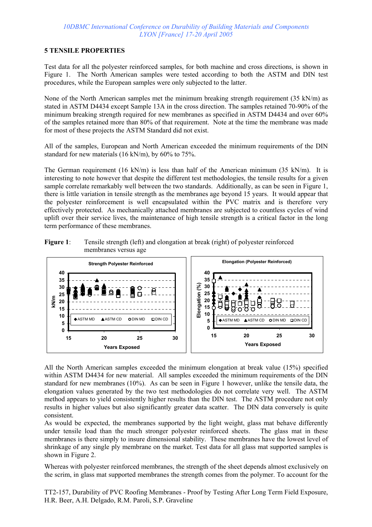## **5 TENSILE PROPERTIES**

Test data for all the polyester reinforced samples, for both machine and cross directions, is shown in Figure 1. The North American samples were tested according to both the ASTM and DIN test procedures, while the European samples were only subjected to the latter.

None of the North American samples met the minimum breaking strength requirement (35 kN/m) as stated in ASTM D4434 except Sample 13A in the cross direction. The samples retained 70-90% of the minimum breaking strength required for new membranes as specified in ASTM D4434 and over 60% of the samples retained more than 80% of that requirement. Note at the time the membrane was made for most of these projects the ASTM Standard did not exist.

All of the samples, European and North American exceeded the minimum requirements of the DIN standard for new materials (16 kN/m), by 60% to 75%.

The German requirement  $(16 \text{ kN/m})$  is less than half of the American minimum (35 kN/m). It is interesting to note however that despite the different test methodologies, the tensile results for a given sample correlate remarkably well between the two standards. Additionally, as can be seen in Figure 1, there is little variation in tensile strength as the membranes age beyond 15 years. It would appear that the polyester reinforcement is well encapsulated within the PVC matrix and is therefore very effectively protected. As mechanically attached membranes are subjected to countless cycles of wind uplift over their service lives, the maintenance of high tensile strength is a critical factor in the long term performance of these membranes.





All the North American samples exceeded the minimum elongation at break value (15%) specified within ASTM D4434 for new material. All samples exceeded the minimum requirements of the DIN standard for new membranes (10%). As can be seen in Figure 1 however, unlike the tensile data, the elongation values generated by the two test methodologies do not correlate very well. The ASTM method appears to yield consistently higher results than the DIN test. The ASTM procedure not only results in higher values but also significantly greater data scatter. The DIN data conversely is quite consistent.

As would be expected, the membranes supported by the light weight, glass mat behave differently under tensile load than the much stronger polyester reinforced sheets. The glass mat in these membranes is there simply to insure dimensional stability. These membranes have the lowest level of shrinkage of any single ply membrane on the market. Test data for all glass mat supported samples is shown in Figure 2.

Whereas with polyester reinforced membranes, the strength of the sheet depends almost exclusively on the scrim, in glass mat supported membranes the strength comes from the polymer. To account for the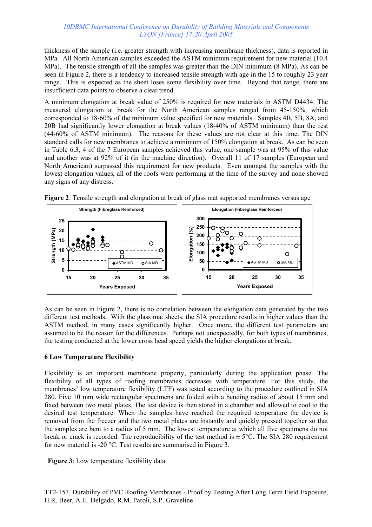thickness of the sample (i.e. greater strength with increasing membrane thickness), data is reported in MPa. All North American samples exceeded the ASTM minimum requirement for new material (10.4 MPa). The tensile strength of all the samples was greater than the DIN minimum (8 MPa). As can be seen in Figure 2, there is a tendency to increased tensile strength with age in the 15 to roughly 23 year range. This is expected as the sheet loses some flexibility over time. Beyond that range, there are insufficient data points to observe a clear trend.

A minimum elongation at break value of 250% is required for new materials in ASTM D4434. The measured elongation at break for the North American samples ranged from 45-150%, which corresponded to 18-60% of the minimum value specified for new materials. Samples 4B, 5B, 8A, and 20B had significantly lower elongation at break values (18-40% of ASTM minimum) than the rest (44-60% of ASTM minimum). The reasons for these values are not clear at this time. The DIN standard calls for new membranes to achieve a minimum of 150% elongation at break. As can be seen in Table 6.3, 4 of the 7 European samples achieved this value, one sample was at 95% of this value and another was at 92% of it (in the machine direction). Overall 11 of 17 samples (European and North American) surpassed this requirement for new products. Even amongst the samples with the lowest elongation values, all of the roofs were performing at the time of the survey and none showed any signs of any distress.





As can be seen in Figure 2, there is no correlation between the elongation data generated by the two different test methods. With the glass mat sheets, the SIA procedure results in higher values than the ASTM method, in many cases significantly higher. Once more, the different test parameters are assumed to be the reason for the differences. Perhaps not unexpectedly, for both types of membranes, the testing conducted at the lower cross head speed yields the higher elongations at break.

## **6 Low Temperature Flexibility**

Flexibility is an important membrane property, particularly during the application phase. The flexibility of all types of roofing membranes decreases with temperature. For this study, the membranes' low temperature flexibility (LTF) was tested according to the procedure outlined in SIA 280. Five 10 mm wide rectangular specimens are folded with a bending radius of about 15 mm and fixed between two metal plates. The test device is then stored in a chamber and allowed to cool to the desired test temperature. When the samples have reached the required temperature the device is removed from the freezer and the two metal plates are instantly and quickly pressed together so that the samples are bent to a radius of 5 mm. The lowest temperature at which all five specimens do not break or crack is recorded. The reproducibility of the test method is  $\pm$  5°C. The SIA 280 requirement for new material is -20 °C. Test results are summarised in Figure 3.

**Figure 3**: Low temperature flexibility data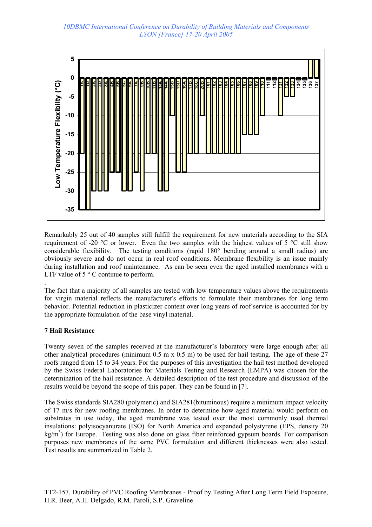

Remarkably 25 out of 40 samples still fulfill the requirement for new materials according to the SIA requirement of -20 °C or lower. Even the two samples with the highest values of 5 °C still show considerable flexibility. The testing conditions (rapid 180° bending around a small radius) are obviously severe and do not occur in real roof conditions. Membrane flexibility is an issue mainly during installation and roof maintenance. As can be seen even the aged installed membranes with a LTF value of 5 ° C continue to perform.

The fact that a majority of all samples are tested with low temperature values above the requirements for virgin material reflects the manufacturer's efforts to formulate their membranes for long term behavior. Potential reduction in plasticizer content over long years of roof service is accounted for by the appropriate formulation of the base vinyl material.

## **7 Hail Resistance**

.

Twenty seven of the samples received at the manufacturer's laboratory were large enough after all other analytical procedures (minimum  $0.5$  m x  $0.5$  m) to be used for hail testing. The age of these 27 roofs ranged from 15 to 34 years. For the purposes of this investigation the hail test method developed by the Swiss Federal Laboratories for Materials Testing and Research (EMPA) was chosen for the determination of the hail resistance. A detailed description of the test procedure and discussion of the results would be beyond the scope of this paper. They can be found in [7].

The Swiss standards SIA280 (polymeric) and SIA281(bituminous) require a minimum impact velocity of 17 m/s for new roofing membranes. In order to determine how aged material would perform on substrates in use today, the aged membrane was tested over the most commonly used thermal insulations: polyisocyanurate (ISO) for North America and expanded polystyrene (EPS, density 20 kg/m<sup>3</sup>) for Europe. Testing was also done on glass fiber reinforced gypsum boards. For comparison purposes new membranes of the same PVC formulation and different thicknesses were also tested. Test results are summarized in Table 2.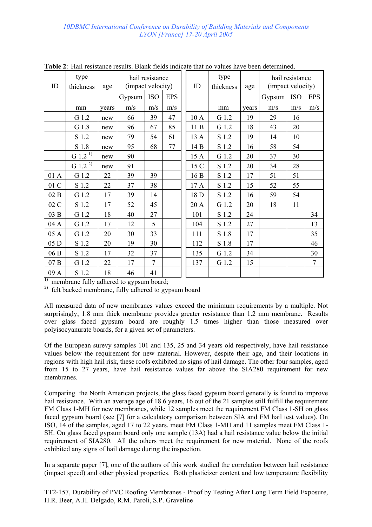|                  |                       |       |                                      |                |            |  | <b>Fabre 2.</b> Than resistance results. Diamy fields indicate that he values have been determined. |                   |       |                   |                 |                |
|------------------|-----------------------|-------|--------------------------------------|----------------|------------|--|-----------------------------------------------------------------------------------------------------|-------------------|-------|-------------------|-----------------|----------------|
| ID               | type<br>thickness     | age   | hail resistance<br>(impact velocity) |                |            |  | ID                                                                                                  | type<br>thickness | age   | (impact velocity) | hail resistance |                |
|                  |                       |       | Gypsum                               | <b>ISO</b>     | <b>EPS</b> |  |                                                                                                     |                   |       | Gypsum            | <b>ISO</b>      | <b>EPS</b>     |
|                  | mm                    | years | m/s                                  | m/s            | m/s        |  |                                                                                                     | mm                | years | m/s               | m/s             | m/s            |
|                  | G 1.2                 | new   | 66                                   | 39             | 47         |  | 10 A                                                                                                | G 1.2             | 19    | 29                | 16              |                |
|                  | G 1.8                 | new   | 96                                   | 67             | 85         |  | 11B                                                                                                 | G 1.2             | 18    | 43                | 20              |                |
|                  | S 1.2                 | new   | 79                                   | 54             | 61         |  | 13 A                                                                                                | S 1.2             | 19    | 14                | 10              |                |
|                  | S 1.8                 | new   | 95                                   | 68             | 77         |  | 14 B                                                                                                | S 1.2             | 16    | 58                | 54              |                |
|                  | $G$ 1.2 <sup>1)</sup> | new   | 90                                   |                |            |  | 15 A                                                                                                | G 1.2             | 20    | 37                | 30              |                |
|                  | G 1.2 <sup>2)</sup>   | new   | 91                                   |                |            |  | 15 C                                                                                                | S 1.2             | 20    | 34                | 28              |                |
| 01 A             | G 1.2                 | 22    | 39                                   | 39             |            |  | 16B                                                                                                 | S 1.2             | 17    | 51                | 51              |                |
| $01\,\mathrm{C}$ | S 1.2                 | 22    | 37                                   | 38             |            |  | 17 A                                                                                                | S 1.2             | 15    | 52                | 55              |                |
| 02B              | G 1.2                 | 17    | 39                                   | 14             |            |  | 18 D                                                                                                | S 1.2             | 16    | 59                | 54              |                |
| 02 C             | S 1.2                 | 17    | 52                                   | 45             |            |  | 20 A                                                                                                | G 1.2             | 20    | 18                | 11              |                |
| 03 B             | G 1.2                 | 18    | 40                                   | 27             |            |  | 101                                                                                                 | S 1.2             | 24    |                   |                 | 34             |
| 04 A             | G 1.2                 | 17    | 12                                   | 5              |            |  | 104                                                                                                 | S 1.2             | 27    |                   |                 | 13             |
| 05 A             | G 1.2                 | 20    | 30                                   | 33             |            |  | 111                                                                                                 | S 1.8             | 17    |                   |                 | 35             |
| 05 D             | S 1.2                 | 20    | 19                                   | 30             |            |  | 112                                                                                                 | S 1.8             | 17    |                   |                 | 46             |
| 06 B             | S 1.2                 | 17    | 32                                   | 37             |            |  | 135                                                                                                 | G 1.2             | 34    |                   |                 | 30             |
| 07B              | G 1.2                 | 22    | 17                                   | $\overline{7}$ |            |  | 137                                                                                                 | G 1.2             | 15    |                   |                 | $\overline{7}$ |
| 09 A             | S 1.2                 | 18    | 46                                   | 41             |            |  |                                                                                                     |                   |       |                   |                 |                |

**Table 2**: Hail resistance results. Blank fields indicate that no values have been determined.

 $\overline{1}$  membrane fully adhered to gypsum board;

2) felt backed membrane, fully adhered to gypsum board

All measured data of new membranes values exceed the minimum requirements by a multiple. Not surprisingly, 1.8 mm thick membrane provides greater resistance than 1.2 mm membrane. Results over glass faced gypsum board are roughly 1.5 times higher than those measured over polyisocyanurate boards, for a given set of parameters.

Of the European surevy samples 101 and 135, 25 and 34 years old respectively, have hail resistance values below the requirement for new material. However, despite their age, and their locations in regions with high hail risk, these roofs exhibited no signs of hail damage. The other four samples, aged from 15 to 27 years, have hail resistance values far above the SIA280 requirement for new membranes.

Comparing the North American projects, the glass faced gypsum board generally is found to improve hail resistance. With an average age of 18.6 years, 16 out of the 21 samples still fulfill the requirement FM Class 1-MH for new membranes, while 12 samples meet the requirement FM Class 1-SH on glass faced gypsum board (see [7] for a calculatory comparison between SIA and FM hail test values). On ISO, 14 of the samples, aged 17 to 22 years, meet FM Class 1-MH and 11 samples meet FM Class 1- SH. On glass faced gypsum board only one sample (13A) had a hail resistance value below the initial requirement of SIA280. All the others meet the requirement for new material. None of the roofs exhibited any signs of hail damage during the inspection.

In a separate paper [7], one of the authors of this work studied the correlation between hail resistance (impact speed) and other physical properties. Both plasticizer content and low temperature flexibility